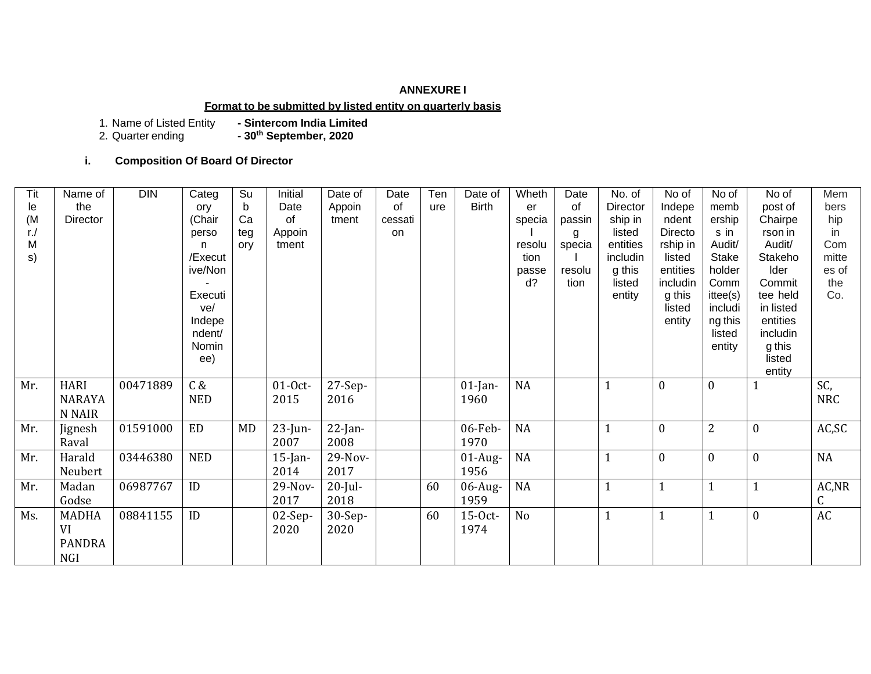## **ANNEXURE I**

### **Format to be submitted by listed entity on quarterly basis**

1. Name of Listed Entity<br>2. Quarter ending

- Sintercom India Limited<br>- 30<sup>th</sup> September, 2020

## **i. Composition Of Board Of Director**

| <b>Tit</b> | Name of       | <b>DIN</b> | Categ      | Su  | Initial    | Date of    | Date    | Ten | Date of      | Wheth          | Date   | No. of   | No of            | No of          | No of        | Mem        |
|------------|---------------|------------|------------|-----|------------|------------|---------|-----|--------------|----------------|--------|----------|------------------|----------------|--------------|------------|
| le         | the           |            | ory        | b   | Date       | Appoin     | of      | ure | <b>Birth</b> | er             | of     | Director | Indepe           | memb           | post of      | bers       |
| (M)        | Director      |            | (Chair     | Ca  | of         | tment      | cessati |     |              | specia         | passin | ship in  | ndent            | ership         | Chairpe      | hip        |
| $r$ ./     |               |            | perso      | teg | Appoin     |            | on      |     |              |                | g      | listed   | Directo          | s in           | rson in      | in         |
| M          |               |            | n.         | ory | tment      |            |         |     |              | resolu         | specia | entities | rship in         | Audit/         | Audit/       | Com        |
| s)         |               |            | /Execut    |     |            |            |         |     |              | tion           |        | includin | listed           | Stake          | Stakeho      | mitte      |
|            |               |            | ive/Non    |     |            |            |         |     |              | passe          | resolu | g this   | entities         | holder         | Ider         | es of      |
|            |               |            |            |     |            |            |         |     |              | d?             | tion   | listed   | includin         | Comm           | Commit       | the        |
|            |               |            | Executi    |     |            |            |         |     |              |                |        | entity   | g this           | ittee(s)       | tee held     | Co.        |
|            |               |            | ve/        |     |            |            |         |     |              |                |        |          | listed           | includi        | in listed    |            |
|            |               |            | Indepe     |     |            |            |         |     |              |                |        |          | entity           | ng this        | entities     |            |
|            |               |            | ndent/     |     |            |            |         |     |              |                |        |          |                  | listed         | includin     |            |
|            |               |            | Nomin      |     |            |            |         |     |              |                |        |          |                  | entity         | g this       |            |
|            |               |            | ee)        |     |            |            |         |     |              |                |        |          |                  |                | listed       |            |
|            |               |            |            |     |            |            |         |     |              |                |        |          |                  |                | entity       |            |
| Mr.        | <b>HARI</b>   | 00471889   | C &        |     | $01-0ct$   | $27-Sep-$  |         |     | $01$ -Jan-   | <b>NA</b>      |        |          | $\boldsymbol{0}$ | $\mathbf{0}$   | $\mathbf{1}$ | SC,        |
|            | <b>NARAYA</b> |            | <b>NED</b> |     | 2015       | 2016       |         |     | 1960         |                |        |          |                  |                |              | <b>NRC</b> |
|            | N NAIR        |            |            |     |            |            |         |     |              |                |        |          |                  |                |              |            |
| Mr.        | Jignesh       | 01591000   | <b>ED</b>  | MD  | $23$ -Jun- | $22$ -Jan- |         |     | 06-Feb-      | <b>NA</b>      |        | 1        | $\boldsymbol{0}$ | $\overline{2}$ | $\mathbf{0}$ | AC, SC     |
|            | Raval         |            |            |     | 2007       | 2008       |         |     | 1970         |                |        |          |                  |                |              |            |
| Mr.        | Harald        | 03446380   | <b>NED</b> |     | $15$ -Jan- | 29-Nov-    |         |     | $01$ -Aug-   | <b>NA</b>      |        |          | $\boldsymbol{0}$ | $\mathbf{0}$   | $\mathbf{0}$ | NA         |
|            | Neubert       |            |            |     | 2014       | 2017       |         |     | 1956         |                |        |          |                  |                |              |            |
| Mr.        | Madan         | 06987767   | ID         |     | 29-Nov-    | $20$ -Jul- |         | 60  | $06$ -Aug-   | <b>NA</b>      |        |          | $\mathbf{1}$     | $\mathbf{1}$   | $\mathbf{1}$ | AC, NR     |
|            | Godse         |            |            |     | 2017       | 2018       |         |     | 1959         |                |        |          |                  |                |              | C          |
| Ms.        | <b>MADHA</b>  | 08841155   | ID         |     | $02$ -Sep- | $30-Sep-$  |         | 60  | 15-0ct-      | N <sub>o</sub> |        |          | $\mathbf{1}$     | $\mathbf{1}$   | $\mathbf{0}$ | AC         |
|            | VI            |            |            |     | 2020       | 2020       |         |     | 1974         |                |        |          |                  |                |              |            |
|            | <b>PANDRA</b> |            |            |     |            |            |         |     |              |                |        |          |                  |                |              |            |
|            | NGI           |            |            |     |            |            |         |     |              |                |        |          |                  |                |              |            |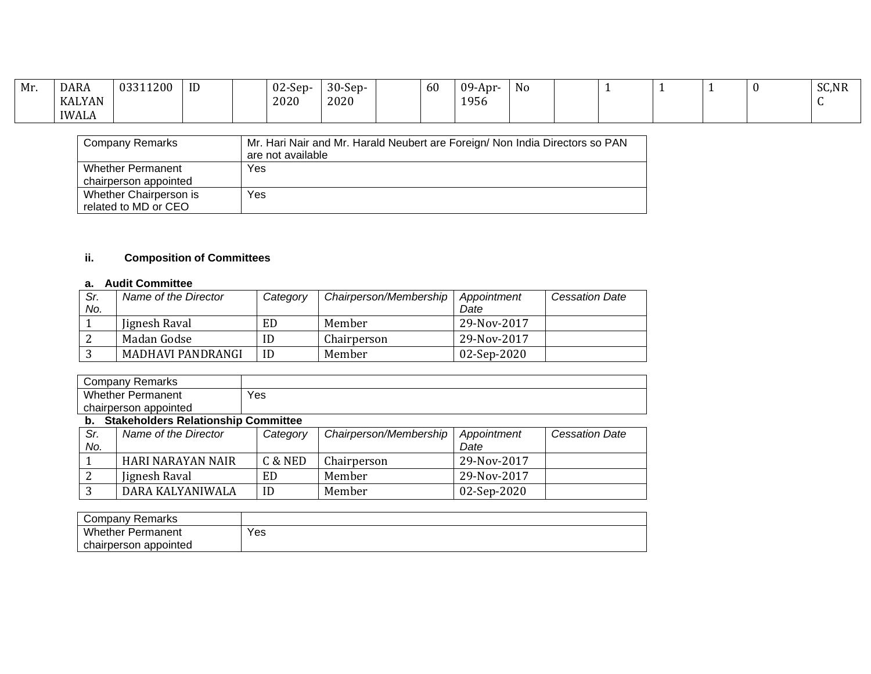| Mr. | <b>DARA</b>   | 03311200 | ID | $02-Sep-$ | $30-Sep-$ | 60 | $09$ -Apr- | $\mathbf{v}$<br>N0 |  |  | SC,NR |
|-----|---------------|----------|----|-----------|-----------|----|------------|--------------------|--|--|-------|
|     | <b>KALYAN</b> |          |    | 2020      | 2020      |    | 1956       |                    |  |  |       |
|     | <b>IWALA</b>  |          |    |           |           |    |            |                    |  |  |       |

| <b>Company Remarks</b>                            | Mr. Hari Nair and Mr. Harald Neubert are Foreign/ Non India Directors so PAN<br>are not available |
|---------------------------------------------------|---------------------------------------------------------------------------------------------------|
| <b>Whether Permanent</b><br>chairperson appointed | Yes                                                                                               |
| Whether Chairperson is<br>related to MD or CEO    | Yes                                                                                               |

# **ii. Composition of Committees**

# **a. Audit Committee**

| Sr. | Name of the Director | Category | Chairperson/Membership | Appointment | <b>Cessation Date</b> |
|-----|----------------------|----------|------------------------|-------------|-----------------------|
| No. |                      |          |                        | Date        |                       |
|     | Jignesh Raval        | ED       | Member                 | 29-Nov-2017 |                       |
|     | Madan Godse          | ID       | Chairperson            | 29-Nov-2017 |                       |
|     | MADHAVI PANDRANGI    | ID       | Member                 | 02-Sep-2020 |                       |

|                          | <b>Company Remarks</b>                 |          |                        |             |                       |
|--------------------------|----------------------------------------|----------|------------------------|-------------|-----------------------|
| <b>Whether Permanent</b> |                                        | Yes      |                        |             |                       |
| chairperson appointed    |                                        |          |                        |             |                       |
|                          | b. Stakeholders Relationship Committee |          |                        |             |                       |
| Sr.                      | Name of the Director                   | Category | Chairperson/Membership | Appointment | <b>Cessation Date</b> |
| No.                      |                                        |          |                        | Date        |                       |
|                          | HARI NARAYAN NAIR                      | C & NED  | Chairperson            | 29-Nov-2017 |                       |
| 2                        | Jignesh Raval                          | ED       | Member                 | 29-Nov-2017 |                       |
| 3                        | DARA KALYANIWALA                       | ID       | Member                 | 02-Sep-2020 |                       |

| Remarks<br>∶ompanv       |     |
|--------------------------|-----|
| Whether<br>Permanent     | Yes |
| appointed<br>chairperson |     |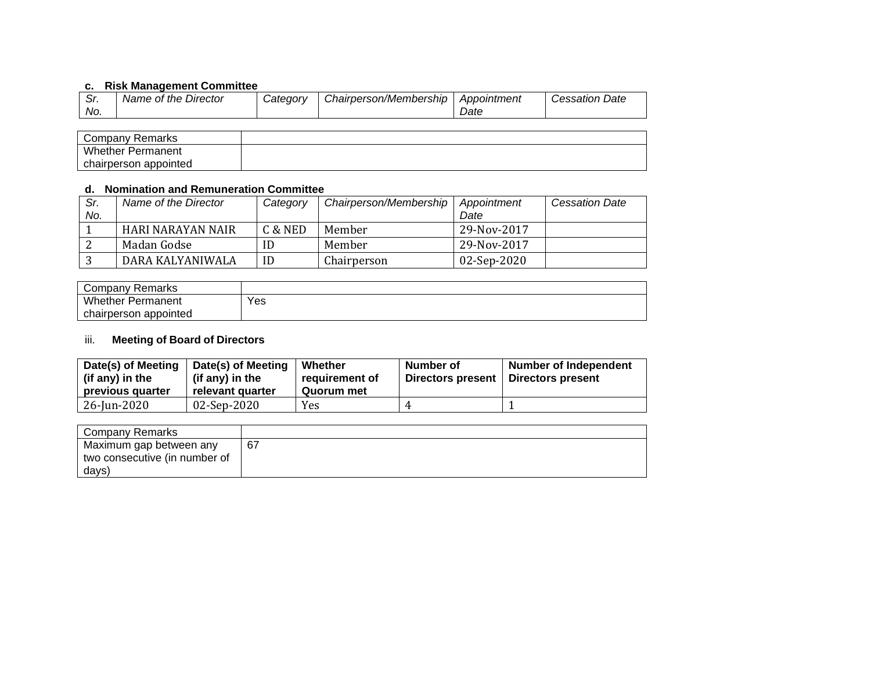# **c. Risk Management Committee**

|     | Name of the Director | Category | Chairperson/Membership | Appointment | Cessation Date |
|-----|----------------------|----------|------------------------|-------------|----------------|
| No. |                      |          |                        | <i>Date</i> |                |

| Company Remarks          |  |
|--------------------------|--|
| <b>Whether Permanent</b> |  |
| chairperson appointed    |  |

# **d. Nomination and Remuneration Committee**

| Sr. | Name of the Director | Category | Chairperson/Membership | Appointment | <b>Cessation Date</b> |
|-----|----------------------|----------|------------------------|-------------|-----------------------|
| No. |                      |          |                        | Date        |                       |
|     | HARI NARAYAN NAIR    | C & NED  | Member                 | 29-Nov-2017 |                       |
|     | Madan Godse          |          | Member                 | 29-Nov-2017 |                       |
|     | DARA KALYANIWALA     | ID       | Chairperson            | 02-Sep-2020 |                       |

| Company Remarks          |     |
|--------------------------|-----|
| <b>Whether Permanent</b> | Yes |
| chairperson appointed    |     |

## iii. **Meeting of Board of Directors**

| Date(s) of Meeting<br>(if any) in the<br>previous quarter | Date(s) of Meeting<br>(if any) in the<br>relevant quarter | Whether<br>requirement of<br>Quorum met | Number of<br>Directors present | <b>Number of Independent</b><br>Directors present |
|-----------------------------------------------------------|-----------------------------------------------------------|-----------------------------------------|--------------------------------|---------------------------------------------------|
| 26-Jun-2020                                               | 02-Sep-2020                                               | Yes                                     |                                |                                                   |

| <b>Company Remarks</b>        |    |
|-------------------------------|----|
| Maximum gap between any       | 67 |
| two consecutive (in number of |    |
| days)                         |    |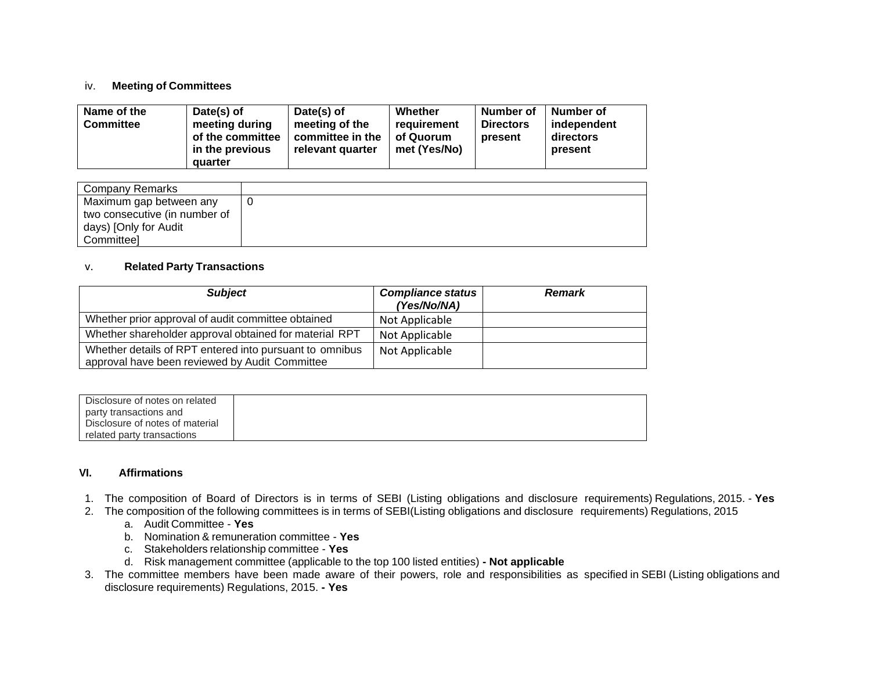#### iv. **Meeting of Committees**

| Name of the<br><b>Committee</b> | Date(s) of<br>meeting during<br>of the committee<br>in the previous<br>quarter | Date(s) of<br>meeting of the<br>committee in the<br>relevant quarter | Whether<br>requirement<br>of Quorum<br>met (Yes/No) | Number of<br><b>Directors</b><br>present | Number of<br>independent<br>directors<br>present |
|---------------------------------|--------------------------------------------------------------------------------|----------------------------------------------------------------------|-----------------------------------------------------|------------------------------------------|--------------------------------------------------|
|---------------------------------|--------------------------------------------------------------------------------|----------------------------------------------------------------------|-----------------------------------------------------|------------------------------------------|--------------------------------------------------|

| Company Remarks               |  |
|-------------------------------|--|
| Maximum gap between any       |  |
| two consecutive (in number of |  |
| days) [Only for Audit         |  |
| Committeel                    |  |

### v. **Related Party Transactions**

| <b>Subject</b>                                                                                            | <b>Compliance status</b><br>(Yes/No/NA) | <b>Remark</b> |
|-----------------------------------------------------------------------------------------------------------|-----------------------------------------|---------------|
| Whether prior approval of audit committee obtained                                                        | Not Applicable                          |               |
| Whether shareholder approval obtained for material RPT                                                    | Not Applicable                          |               |
| Whether details of RPT entered into pursuant to omnibus<br>approval have been reviewed by Audit Committee | Not Applicable                          |               |

| Disclosure of notes on related  |
|---------------------------------|
| party transactions and          |
| Disclosure of notes of material |
| related party transactions      |

### **VI. Affirmations**

- 1. The composition of Board of Directors is in terms of SEBI (Listing obligations and disclosure requirements) Regulations, 2015. **Yes**
- 2. The composition of the following committees is in terms of SEBI(Listing obligations and disclosure requirements) Regulations, 2015
	- a. Audit Committee **Yes**
	- b. Nomination & remuneration committee **Yes**
	- c. Stakeholders relationship committee **Yes**
	- d. Risk management committee (applicable to the top 100 listed entities) **- Not applicable**
- 3. The committee members have been made aware of their powers, role and responsibilities as specified in SEBI (Listing obligations and disclosure requirements) Regulations, 2015. **- Yes**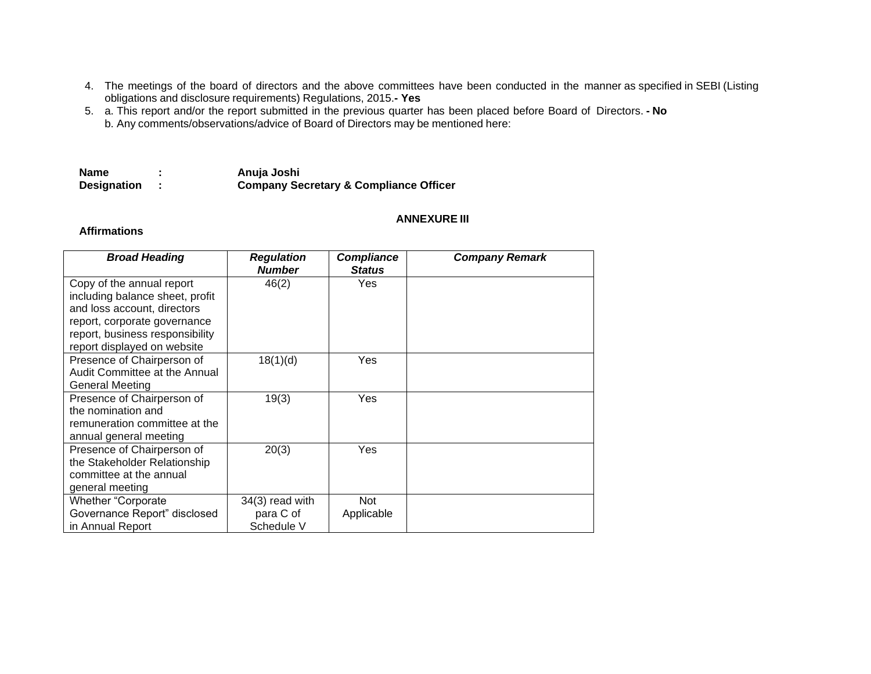- 4. The meetings of the board of directors and the above committees have been conducted in the manner as specified in SEBI (Listing obligations and disclosure requirements) Regulations, 2015.**- Yes**
- 5. a. This report and/or the report submitted in the previous quarter has been placed before Board of Directors. **- No** b. Any comments/observations/advice of Board of Directors may be mentioned here:

| <b>Name</b>        | Anuja Joshi                                       |
|--------------------|---------------------------------------------------|
| <b>Designation</b> | <b>Company Secretary &amp; Compliance Officer</b> |

#### **ANNEXURE III**

## **Affirmations**

| <b>Broad Heading</b>                                                                                                                                                                          | <b>Regulation</b><br><b>Number</b>         | <b>Compliance</b><br><b>Status</b> | <b>Company Remark</b> |
|-----------------------------------------------------------------------------------------------------------------------------------------------------------------------------------------------|--------------------------------------------|------------------------------------|-----------------------|
| Copy of the annual report<br>including balance sheet, profit<br>and loss account, directors<br>report, corporate governance<br>report, business responsibility<br>report displayed on website | 46(2)                                      | Yes                                |                       |
| Presence of Chairperson of<br>Audit Committee at the Annual<br><b>General Meeting</b>                                                                                                         | 18(1)(d)                                   | Yes                                |                       |
| Presence of Chairperson of<br>the nomination and<br>remuneration committee at the<br>annual general meeting                                                                                   | 19(3)                                      | Yes                                |                       |
| Presence of Chairperson of<br>the Stakeholder Relationship<br>committee at the annual<br>general meeting                                                                                      | 20(3)                                      | Yes                                |                       |
| Whether "Corporate<br>Governance Report" disclosed<br>in Annual Report                                                                                                                        | 34(3) read with<br>para C of<br>Schedule V | <b>Not</b><br>Applicable           |                       |